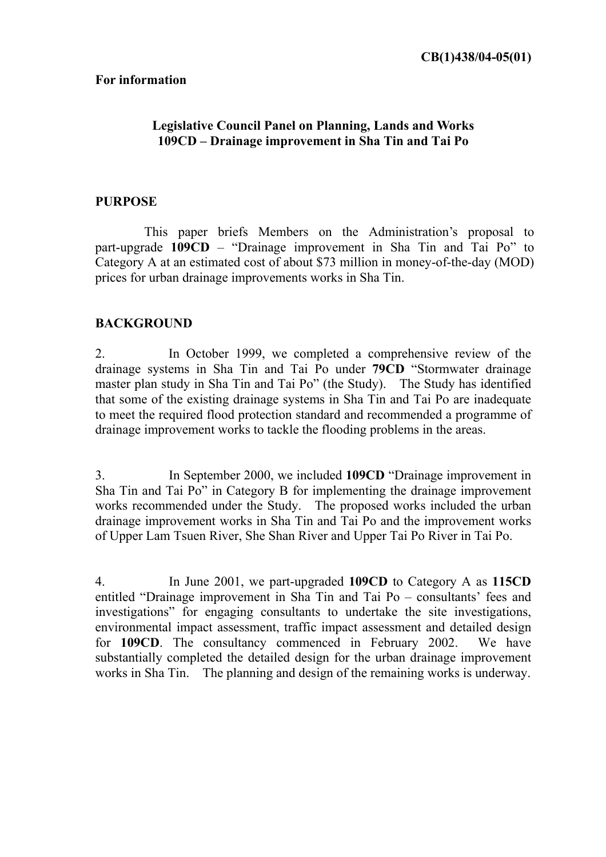#### **For information**

## **Legislative Council Panel on Planning, Lands and Works**  109CD – Drainage improvement in Sha Tin and Tai Po

### **PURPOSE**

This paper briefs Members on the Administration's proposal to part-upgrade  $109CD$  – "Drainage improvement in Sha Tin and Tai Po" to Category A at an estimated cost of about \$73 million in money-of-the-day (MOD) prices for urban drainage improvements works in Sha Tin.

### **BACKGROUND**

2. In October 1999, we completed a comprehensive review of the drainage systems in Sha Tin and Tai Po under **79CD** "Stormwater drainage master plan study in Sha Tin and Tai Po" (the Study). The Study has identified that some of the existing drainage systems in Sha Tin and Tai Po are inadequate to meet the required flood protection standard and recommended a programme of drainage improvement works to tackle the flooding problems in the areas.

3. In September 2000, we included **109CD** "Drainage improvement in Sha Tin and Tai Po<sup>"</sup> in Category B for implementing the drainage improvement works recommended under the Study. The proposed works included the urban drainage improvement works in Sha Tin and Tai Po and the improvement works of Upper Lam Tsuen River, She Shan River and Upper Tai Po River in Tai Po.

4. In June 2001, we part-upgraded **109CD** to Category A as **115CD** entitled "Drainage improvement in Sha Tin and Tai Po  $-$  consultants' fees and investigations" for engaging consultants to undertake the site investigations, environmental impact assessment, traffic impact assessment and detailed design for **109CD**. The consultancy commenced in February 2002. We have substantially completed the detailed design for the urban drainage improvement works in Sha Tin. The planning and design of the remaining works is underway.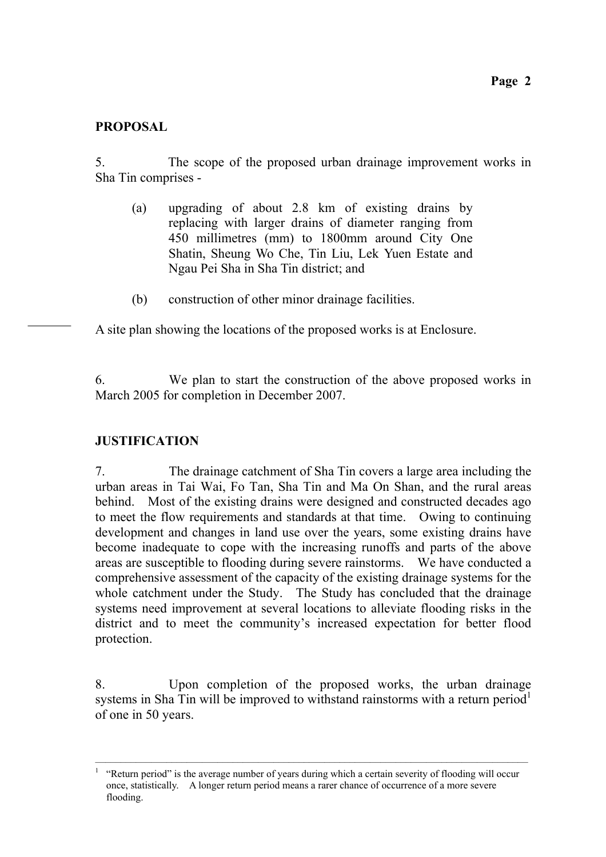## **PROPOSAL**

5. The scope of the proposed urban drainage improvement works in Sha Tin comprises -

- (a) upgrading of about 2.8 km of existing drains by replacing with larger drains of diameter ranging from 450 millimetres (mm) to 1800mm around City One Shatin, Sheung Wo Che, Tin Liu, Lek Yuen Estate and Ngau Pei Sha in Sha Tin district; and
- (b) construction of other minor drainage facilities.

A site plan showing the locations of the proposed works is at Enclosure.

6. We plan to start the construction of the above proposed works in March 2005 for completion in December 2007.

# **JUSTIFICATION**

7. The drainage catchment of Sha Tin covers a large area including the urban areas in Tai Wai, Fo Tan, Sha Tin and Ma On Shan, and the rural areas behind. Most of the existing drains were designed and constructed decades ago to meet the flow requirements and standards at that time. Owing to continuing development and changes in land use over the years, some existing drains have become inadequate to cope with the increasing runoffs and parts of the above areas are susceptible to flooding during severe rainstorms. We have conducted a comprehensive assessment of the capacity of the existing drainage systems for the whole catchment under the Study. The Study has concluded that the drainage systems need improvement at several locations to alleviate flooding risks in the district and to meet the community's increased expectation for better flood protection.

8. Upon completion of the proposed works, the urban drainage systems in Sha Tin will be improved to withstand rainstorms with a return period<sup>1</sup> of one in 50 years.

ñññññññññññññññññññññññññññññññññññññññññññññññññññññññññññññññññññññññññññññññññññññ 1 ìReturn periodî is the average number of years during which a certain severity of flooding will occur once, statistically. A longer return period means a rarer chance of occurrence of a more severe flooding.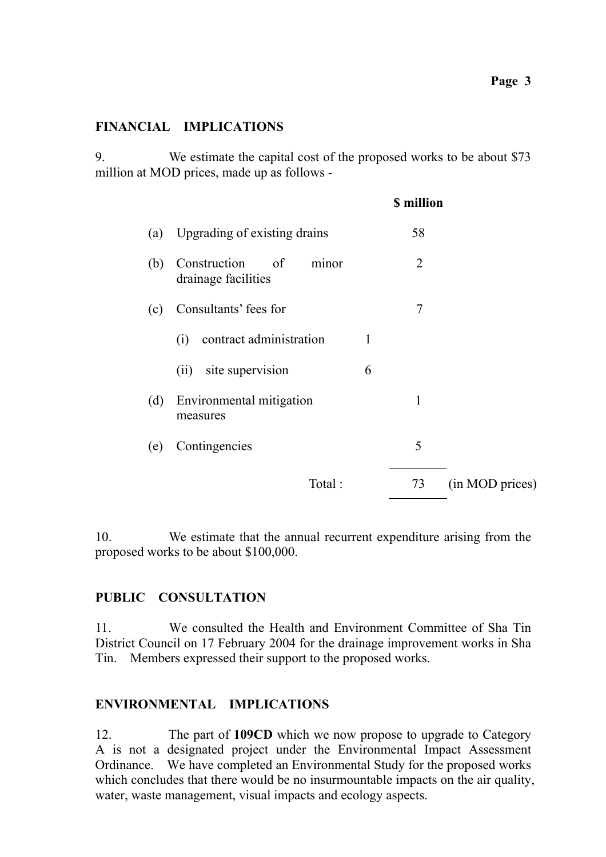#### **Page 3**

### **FINANCIAL IMPLICATIONS**

9. We estimate the capital cost of the proposed works to be about \$73 million at MOD prices, made up as follows -

|     |                                                 |   | <b>\$</b> million |                 |
|-----|-------------------------------------------------|---|-------------------|-----------------|
| (a) | Upgrading of existing drains                    |   | 58                |                 |
| (b) | Construction of<br>minor<br>drainage facilities |   | $\overline{2}$    |                 |
| (c) | Consultants' fees for                           |   | 7                 |                 |
|     | contract administration<br>(i)                  | 1 |                   |                 |
|     | site supervision<br>(ii)                        | 6 |                   |                 |
| (d) | Environmental mitigation<br>measures            |   | 1                 |                 |
| (e) | Contingencies                                   |   | 5                 |                 |
|     | Total:                                          |   | 73                | (in MOD prices) |

10. We estimate that the annual recurrent expenditure arising from the proposed works to be about \$100,000.

### **PUBLIC CONSULTATION**

11. We consulted the Health and Environment Committee of Sha Tin District Council on 17 February 2004 for the drainage improvement works in Sha Tin. Members expressed their support to the proposed works.

#### **ENVIRONMENTAL IMPLICATIONS**

12. The part of **109CD** which we now propose to upgrade to Category A is not a designated project under the Environmental Impact Assessment Ordinance.We have completed an Environmental Study for the proposed works which concludes that there would be no insurmountable impacts on the air quality, water, waste management, visual impacts and ecology aspects.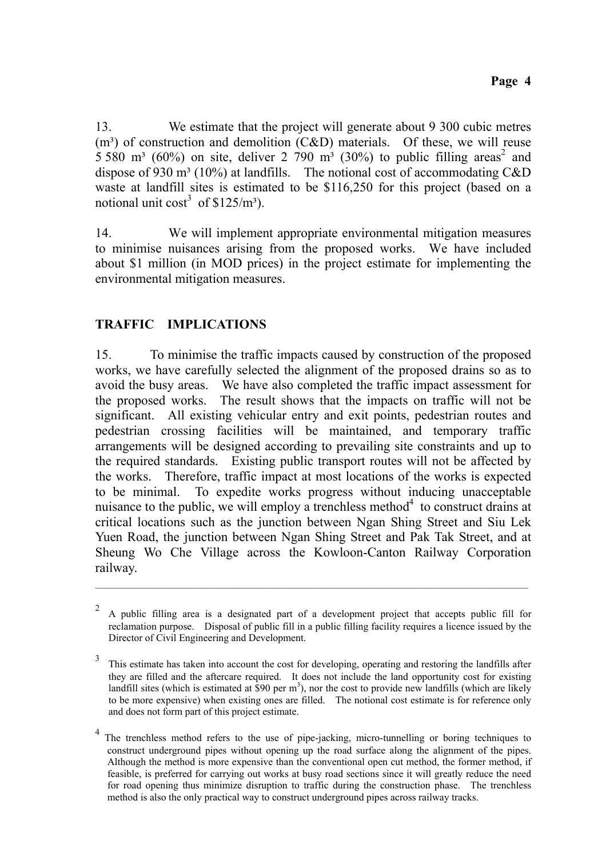13. We estimate that the project will generate about 9 300 cubic metres  $(m<sup>3</sup>)$  of construction and demolition  $(C&D)$  materials. Of these, we will reuse 5 580 m<sup>3</sup> (60%) on site, deliver 2 790 m<sup>3</sup> (30%) to public filling areas<sup>2</sup> and dispose of 930 m<sup>3</sup> (10%) at landfills. The notional cost of accommodating C&D waste at landfill sites is estimated to be \$116,250 for this project (based on a notional unit  $cost^3$  of \$125/m<sup>3</sup>).

14. We will implement appropriate environmental mitigation measures to minimise nuisances arising from the proposed works. We have included about \$1 million (in MOD prices) in the project estimate for implementing the environmental mitigation measures.

# **TRAFFIC IMPLICATIONS**

15. To minimise the traffic impacts caused by construction of the proposed works, we have carefully selected the alignment of the proposed drains so as to avoid the busy areas. We have also completed the traffic impact assessment for the proposed works. The result shows that the impacts on traffic will not be significant. All existing vehicular entry and exit points, pedestrian routes and pedestrian crossing facilities will be maintained, and temporary traffic arrangements will be designed according to prevailing site constraints and up to the required standards. Existing public transport routes will not be affected by the works. Therefore, traffic impact at most locations of the works is expected to be minimal. To expedite works progress without inducing unacceptable nuisance to the public, we will employ a trenchless method $4$  to construct drains at critical locations such as the junction between Ngan Shing Street and Siu Lek Yuen Road, the junction between Ngan Shing Street and Pak Tak Street, and at Sheung Wo Che Village across the Kowloon-Canton Railway Corporation railway.

ñññññññññññññññññññññññññññññññññññññññññññññññññññññññññññññññññññññññññññññññññññññ

<sup>&</sup>lt;sup>2</sup> A public filling area is a designated part of a development project that accepts public fill for reclamation purpose. Disposal of public fill in a public filling facility requires a licence issued by the Director of Civil Engineering and Development.

<sup>&</sup>lt;sup>3</sup> This estimate has taken into account the cost for developing, operating and restoring the landfills after they are filled and the aftercare required. It does not include the land opportunity cost for existing landfill sites (which is estimated at \$90 per  $m<sup>3</sup>$ ), nor the cost to provide new landfills (which are likely to be more expensive) when existing ones are filled. The notional cost estimate is for reference only and does not form part of this project estimate.

<sup>4</sup> The trenchless method refers to the use of pipe-jacking, micro-tunnelling or boring techniques to construct underground pipes without opening up the road surface along the alignment of the pipes. Although the method is more expensive than the conventional open cut method, the former method, if feasible, is preferred for carrying out works at busy road sections since it will greatly reduce the need for road opening thus minimize disruption to traffic during the construction phase. The trenchless method is also the only practical way to construct underground pipes across railway tracks.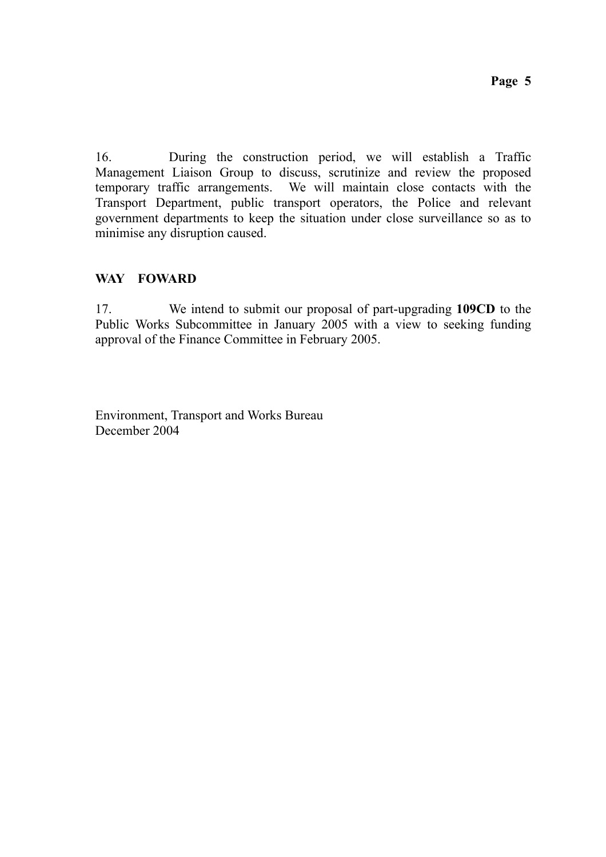16. During the construction period, we will establish a Traffic Management Liaison Group to discuss, scrutinize and review the proposed temporary traffic arrangements. We will maintain close contacts with the Transport Department, public transport operators, the Police and relevant government departments to keep the situation under close surveillance so as to minimise any disruption caused.

## **WAY FOWARD**

17. We intend to submit our proposal of part-upgrading **109CD** to the Public Works Subcommittee in January 2005 with a view to seeking funding approval of the Finance Committee in February 2005.

Environment, Transport and Works Bureau December 2004